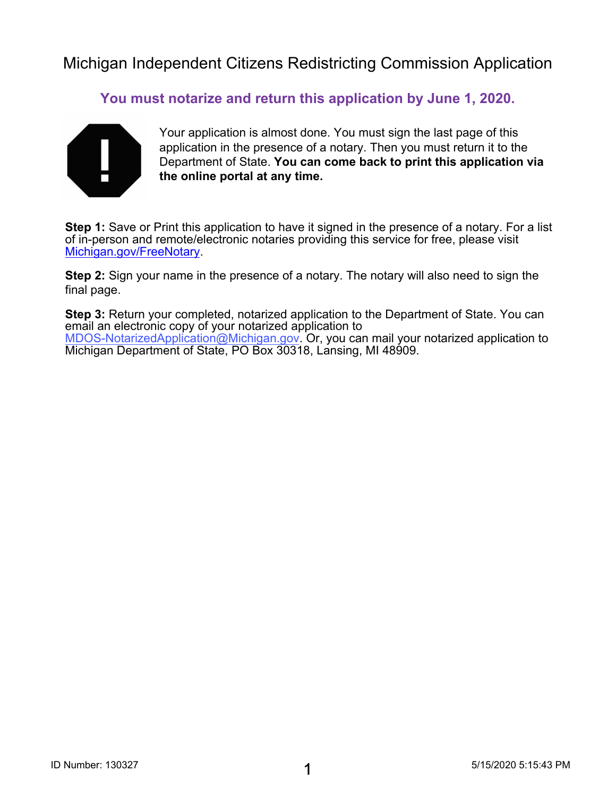**You must notarize and return this application by June 1, 2020.**



Your application is almost done. You must sign the last page of this application in the presence of a notary. Then you must return it to the Department of State. **You can come back to print this application via the online portal at any time.**

**Step 1:** Save or Print this application to have it signed in the presence of a notary. For a list [of in-person and remote/ele](https://www.michigan.gov/sos/0,4670,7-127-1633_91141_95805---,00.html)ctronic notaries providing this service for free, please visit Michigan.gov/FreeNotary.

**Step 2:** Sign your name in the presence of a notary. The notary will also need to sign the final page.

**Step 3:** Return your completed, notarized application to the Department of State. You can email an electronic copy of your notarized application to MDOS-NotarizedApplication@Michigan.gov. Or, you can mail your notarized application to Michigan Department of State, PO Box 30318, Lansing, MI 48909.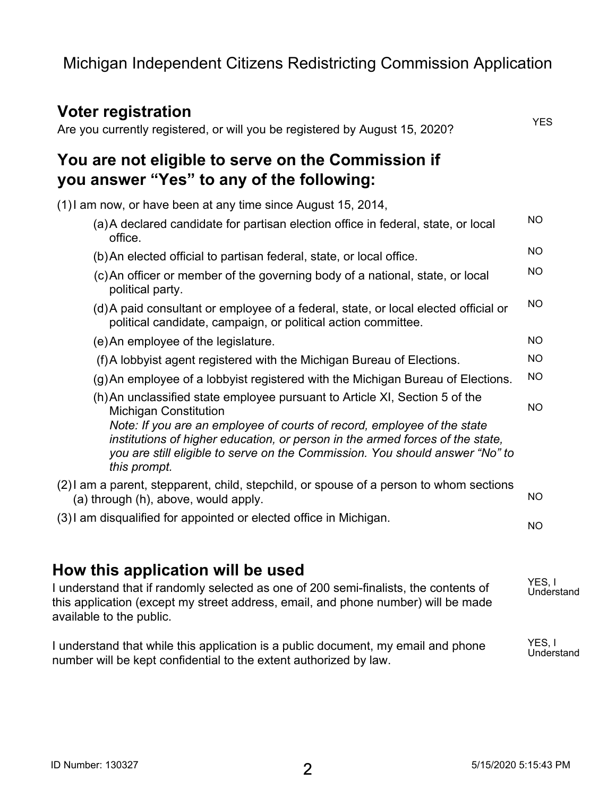#### **Voter registration** Are you currently registered, or will you be registered by August 15, 2020? **You are not eligible to serve on the Commission if you answer "Yes" to any of the following:** (1)I am now, or have been at any time since August 15, 2014, (a)A declared candidate for partisan election office in federal, state, or local office. (b)An elected official to partisan federal, state, or local office. (c)An officer or member of the governing body of a national, state, or local political party. (d)A paid consultant or employee of a federal, state, or local elected official or political candidate, campaign, or political action committee. (e)An employee of the legislature. (f)A lobbyist agent registered with the Michigan Bureau of Elections. (g)An employee of a lobbyist registered with the Michigan Bureau of Elections. (h)An unclassified state employee pursuant to Article XI, Section 5 of the Michigan Constitution *Note: If you are an employee of courts of record, employee of the state institutions of higher education, or person in the armed forces of the state, you are still eligible to serve on the Commission. You should answer "No" to this prompt.* (2)I am a parent, stepparent, child, stepchild, or spouse of a person to whom sections (a) through (h), above, would apply. (3)I am disqualified for appointed or elected office in Michigan. **YES NO NO NO NO NO NO NO NO NO NO**

## **How this application will be used**

I understand that if randomly selected as one of 200 semi-finalists, the contents of this application (except my street address, email, and phone number) will be made available to the public. **YES, I Understand**

I understand that while this application is a public document, my email and phone number will be kept confidential to the extent authorized by law. **YES, I Understand**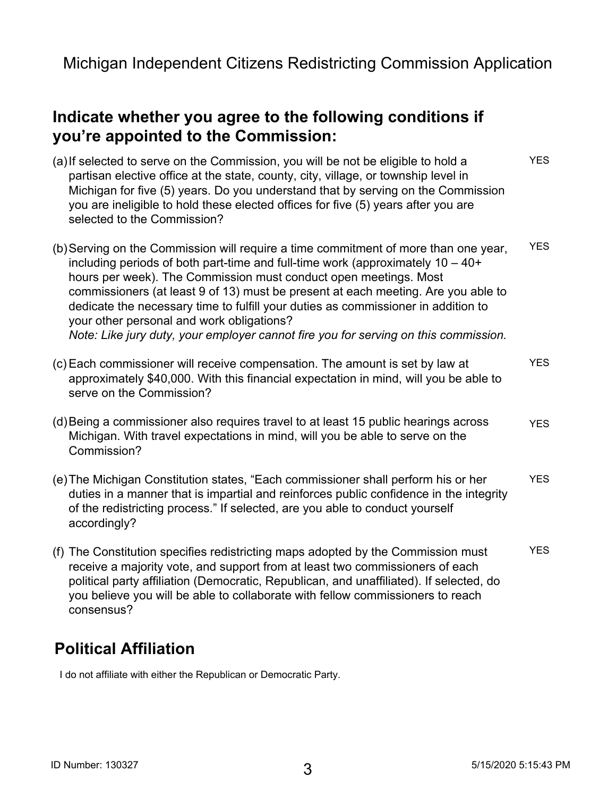## **Indicate whether you agree to the following conditions if you're appointed to the Commission:**

(a)If selected to serve on the Commission, you will be not be eligible to hold a partisan elective office at the state, county, city, village, or township level in Michigan for five (5) years. Do you understand that by serving on the Commission you are ineligible to hold these elected offices for five (5) years after you are selected to the Commission? (b)Serving on the Commission will require a time commitment of more than one year, including periods of both part-time and full-time work (approximately 10 – 40+ hours per week). The Commission must conduct open meetings. Most commissioners (at least 9 of 13) must be present at each meeting. Are you able to dedicate the necessary time to fulfill your duties as commissioner in addition to your other personal and work obligations? *Note: Like jury duty, your employer cannot fire you for serving on this commission.* (c) Each commissioner will receive compensation. The amount is set by law at approximately \$40,000. With this financial expectation in mind, will you be able to serve on the Commission? (d)Being a commissioner also requires travel to at least 15 public hearings across Michigan. With travel expectations in mind, will you be able to serve on the Commission? (e)The Michigan Constitution states, "Each commissioner shall perform his or her duties in a manner that is impartial and reinforces public confidence in the integrity of the redistricting process." If selected, are you able to conduct yourself accordingly? (f) The Constitution specifies redistricting maps adopted by the Commission must receive a majority vote, and support from at least two commissioners of each political party affiliation (Democratic, Republican, and unaffiliated). If selected, do you believe you will be able to collaborate with fellow commissioners to reach consensus? **YES YES YES YES YES YES**

## **Political Affiliation**

**I do not affiliate with either the Republican or Democratic Party.**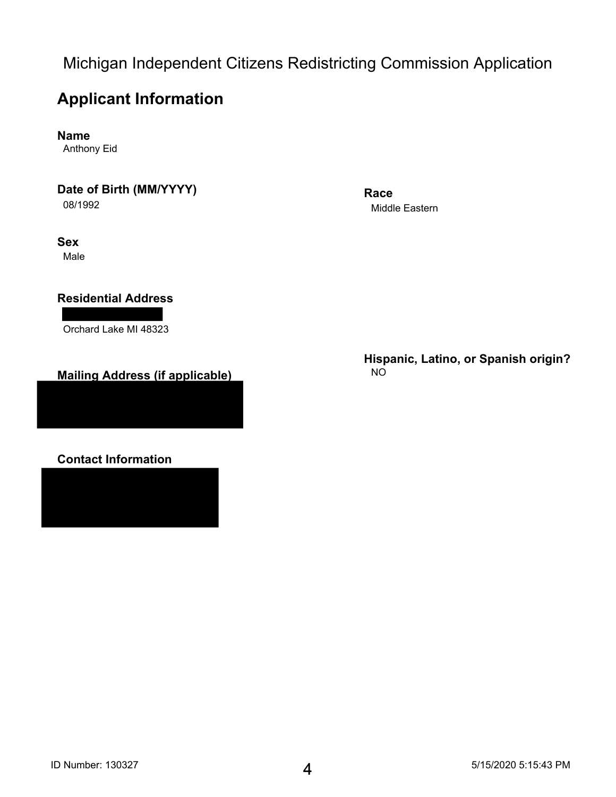## **Applicant Information**

**Name**

**Anthony Eid**

**Date of Birth (MM/YYYY)**

**08/1992**

**Sex**

**Male**

#### **Residential Address**

**Orchard Lake MI 48323**

#### **Mailing Address (if applicable)**

**Contact Information**

**Race Middle Eastern**

**Hispanic, Latino, or Spanish origin? NO**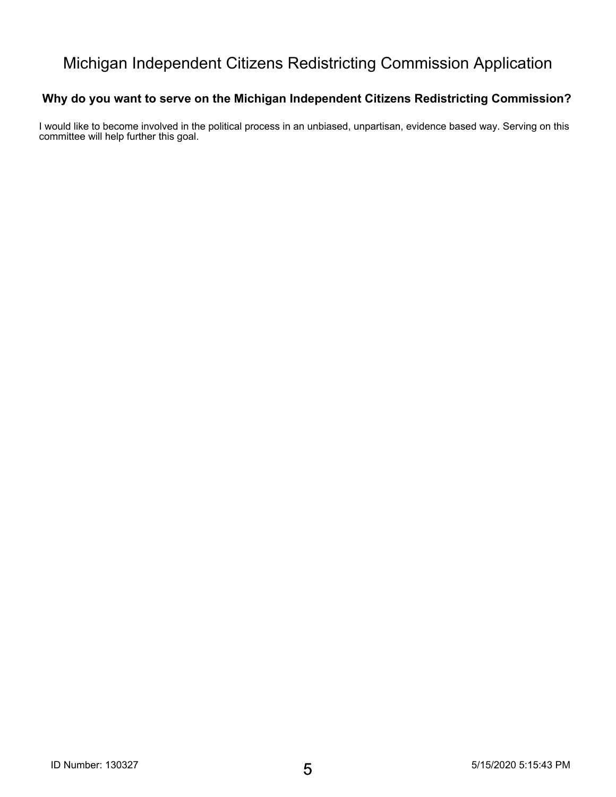#### **Why do you want to serve on the Michigan Independent Citizens Redistricting Commission?**

**I would like to become involved in the political process in an unbiased, unpartisan, evidence based way. Serving on this committee will help further this goal.**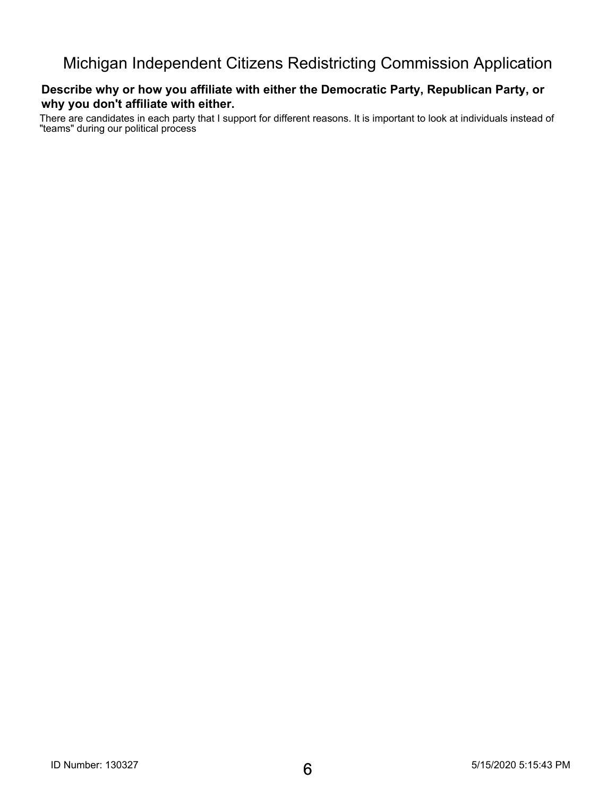#### **Describe why or how you affiliate with either the Democratic Party, Republican Party, or why you don't affiliate with either.**

**There are candidates in each party that I support for different reasons. It is important to look at individuals instead of "teams" during our political process**